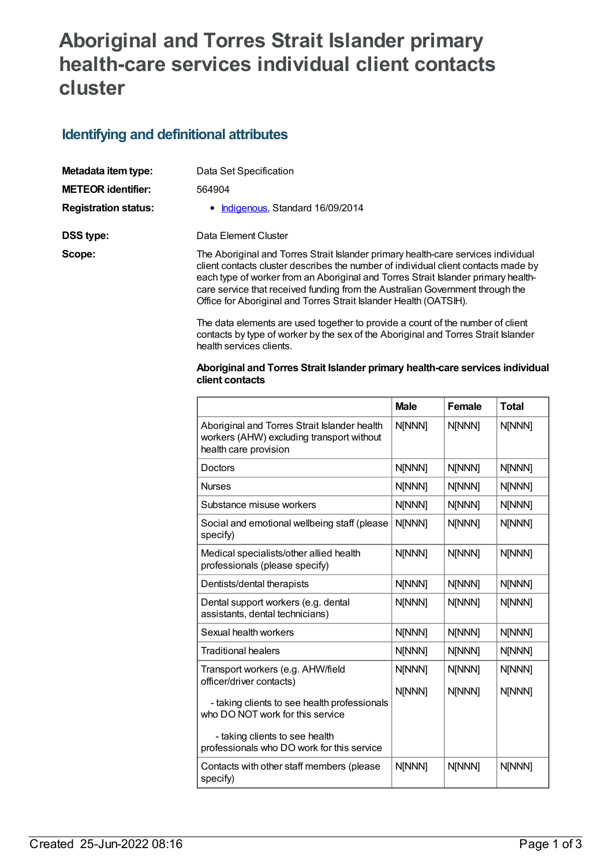## **Aboriginal and Torres Strait Islander primary health-care services individual client contacts cluster**

## **Identifying and definitional attributes**

| Metadata item type:         | Data Set Specification                                                                                                                                                                                                                                                                                                                        |
|-----------------------------|-----------------------------------------------------------------------------------------------------------------------------------------------------------------------------------------------------------------------------------------------------------------------------------------------------------------------------------------------|
| <b>METEOR identifier:</b>   | 564904                                                                                                                                                                                                                                                                                                                                        |
| <b>Registration status:</b> | • Indigenous, Standard 16/09/2014                                                                                                                                                                                                                                                                                                             |
| DSS type:                   | Data Element Cluster                                                                                                                                                                                                                                                                                                                          |
| Scope:                      | The Aboriginal and Torres Strait Islander primary health-care services individual<br>client contacts cluster describes the number of individual client contacts made by<br>each type of worker from an Aboriginal and Torres Strait Islander primary health-<br>care service that received funding from the Australian Government through the |

The data elements are used together to provide a count of the number of client contacts by type of worker by the sex of the Aboriginal and Torres Strait Islander health services clients.

Office for Aboriginal and Torres Strait Islander Health (OATSIH).

## **Aboriginal and Torres Strait Islander primary health-care services individual client contacts**

|                                                                                                                    | <b>Male</b>      | Female           | <b>Total</b>     |
|--------------------------------------------------------------------------------------------------------------------|------------------|------------------|------------------|
| Aboriginal and Torres Strait Islander health<br>workers (AHW) excluding transport without<br>health care provision | N[NNN]           | N[NNN]           | N[NNN]           |
| Doctors                                                                                                            | N[NNN]           | N[NNN]           | N[NNN]           |
| <b>Nurses</b>                                                                                                      | N[NNN]           | N[NNN]           | N[NNN]           |
| Substance misuse workers                                                                                           | N[NNN]           | N[NNN]           | N[NNN]           |
| Social and emotional wellbeing staff (please<br>specify)                                                           | N[NNN]           | N[NNN]           | N[NNN]           |
| Medical specialists/other allied health<br>professionals (please specify)                                          | N[NNN]           | N[NNN]           | N[NNN]           |
| Dentists/dental therapists                                                                                         | N[NNN]           | N[NNN]           | N[NNN]           |
| Dental support workers (e.g. dental<br>assistants, dental technicians)                                             | N[NNN]           | N[NNN]           | N[NNN]           |
| Sexual health workers                                                                                              | N[NNN]           | N[NNN]           | N[NNN]           |
| <b>Traditional healers</b>                                                                                         | N[NNN]           | N[NNN]           | N[NNN]           |
| Transport workers (e.g. AHW/field<br>officer/driver contacts)                                                      | N[NNN]<br>N[NNN] | N[NNN]<br>N[NNN] | N[NNN]<br>N[NNN] |
| - taking clients to see health professionals<br>who DO NOT work for this service<br>- taking clients to see health |                  |                  |                  |
| professionals who DO work for this service                                                                         |                  |                  |                  |
| Contacts with other staff members (please<br>specify)                                                              | N[NNN]           | N[NNN]           | N[NNN]           |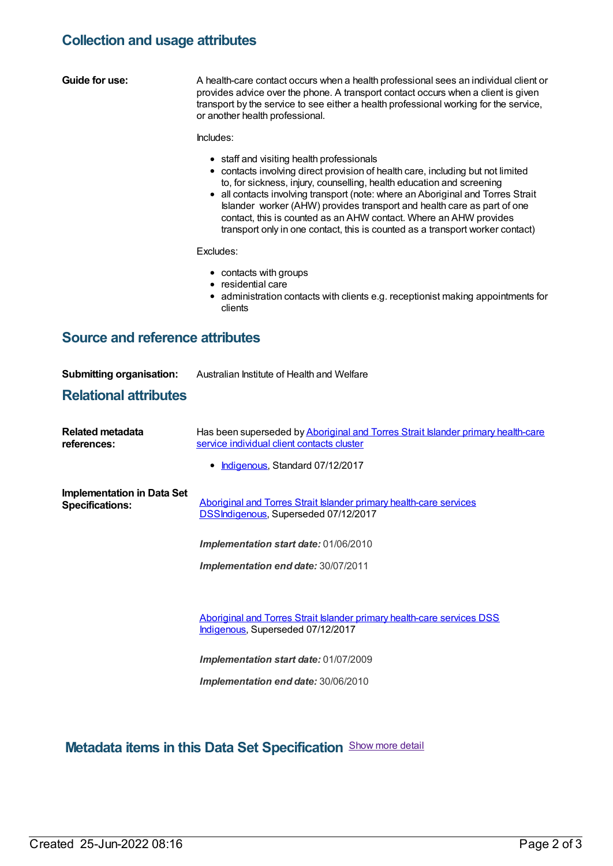## **Collection and usage attributes**

| <b>Guide for use:</b>                                       | A health-care contact occurs when a health professional sees an individual client or<br>provides advice over the phone. A transport contact occurs when a client is given<br>transport by the service to see either a health professional working for the service,<br>or another health professional.                                                                                                                                                                                                                     |
|-------------------------------------------------------------|---------------------------------------------------------------------------------------------------------------------------------------------------------------------------------------------------------------------------------------------------------------------------------------------------------------------------------------------------------------------------------------------------------------------------------------------------------------------------------------------------------------------------|
|                                                             | Includes:                                                                                                                                                                                                                                                                                                                                                                                                                                                                                                                 |
|                                                             | • staff and visiting health professionals<br>• contacts involving direct provision of health care, including but not limited<br>to, for sickness, injury, counselling, health education and screening<br>• all contacts involving transport (note: where an Aboriginal and Torres Strait<br>Islander worker (AHW) provides transport and health care as part of one<br>contact, this is counted as an AHW contact. Where an AHW provides<br>transport only in one contact, this is counted as a transport worker contact) |
|                                                             | Excludes:                                                                                                                                                                                                                                                                                                                                                                                                                                                                                                                 |
|                                                             | • contacts with groups<br>• residential care<br>• administration contacts with clients e.g. receptionist making appointments for<br>clients                                                                                                                                                                                                                                                                                                                                                                               |
| <b>Source and reference attributes</b>                      |                                                                                                                                                                                                                                                                                                                                                                                                                                                                                                                           |
| <b>Submitting organisation:</b>                             | Australian Institute of Health and Welfare                                                                                                                                                                                                                                                                                                                                                                                                                                                                                |
| <b>Relational attributes</b>                                |                                                                                                                                                                                                                                                                                                                                                                                                                                                                                                                           |
| Related metadata<br>references:                             | Has been superseded by Aboriginal and Torres Strait Islander primary health-care<br>service individual client contacts cluster                                                                                                                                                                                                                                                                                                                                                                                            |
|                                                             | • Indigenous, Standard 07/12/2017                                                                                                                                                                                                                                                                                                                                                                                                                                                                                         |
| <b>Implementation in Data Set</b><br><b>Specifications:</b> | Aboriginal and Torres Strait Islander primary health-care services<br>DSSIndigenous, Superseded 07/12/2017                                                                                                                                                                                                                                                                                                                                                                                                                |
|                                                             | Implementation start date: 01/06/2010                                                                                                                                                                                                                                                                                                                                                                                                                                                                                     |
|                                                             | Implementation end date: 30/07/2011                                                                                                                                                                                                                                                                                                                                                                                                                                                                                       |
|                                                             |                                                                                                                                                                                                                                                                                                                                                                                                                                                                                                                           |
|                                                             | Aboriginal and Torres Strait Islander primary health-care services DSS<br>Indigenous, Superseded 07/12/2017                                                                                                                                                                                                                                                                                                                                                                                                               |
|                                                             | Implementation start date: 01/07/2009                                                                                                                                                                                                                                                                                                                                                                                                                                                                                     |
|                                                             | Implementation end date: 30/06/2010                                                                                                                                                                                                                                                                                                                                                                                                                                                                                       |

**Metadata items in this Data Set Specification** Show more detail